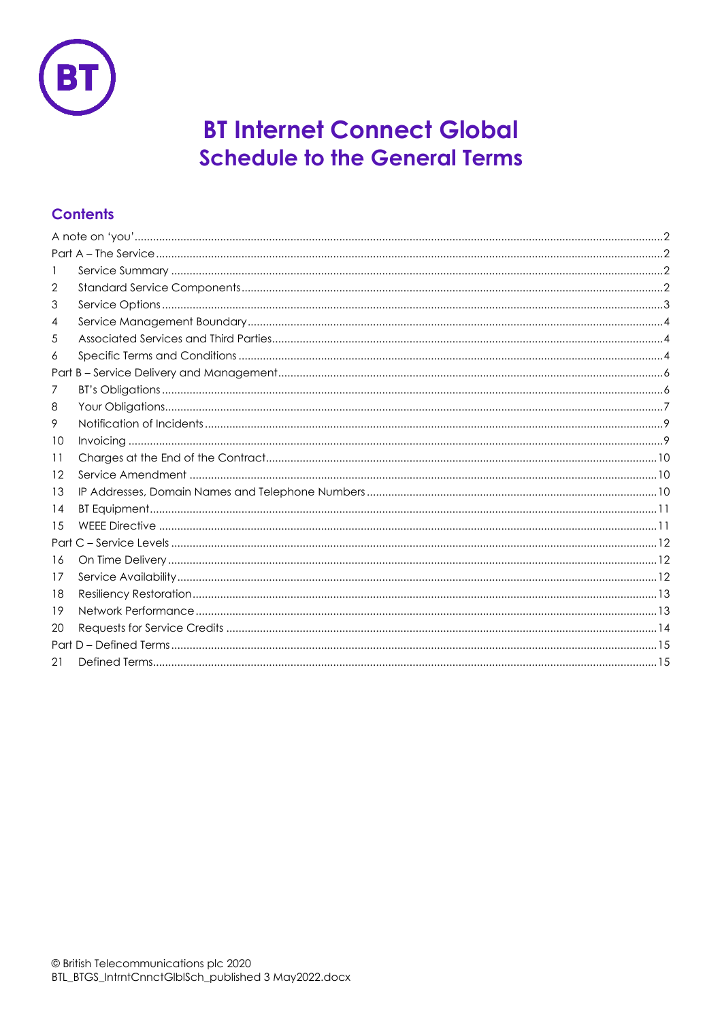

# **BT Internet Connect Global Schedule to the General Terms**

# **Contents**

| 2    |  |  |
|------|--|--|
| 3    |  |  |
| 4    |  |  |
| 5    |  |  |
| 6    |  |  |
|      |  |  |
| 7    |  |  |
| 8    |  |  |
| 9    |  |  |
| 10   |  |  |
| 11   |  |  |
| 12   |  |  |
| 13   |  |  |
| 14   |  |  |
| 15   |  |  |
| Part |  |  |
| 16   |  |  |
| 17   |  |  |
| 18   |  |  |
| 19   |  |  |
| 20   |  |  |
|      |  |  |
| 21   |  |  |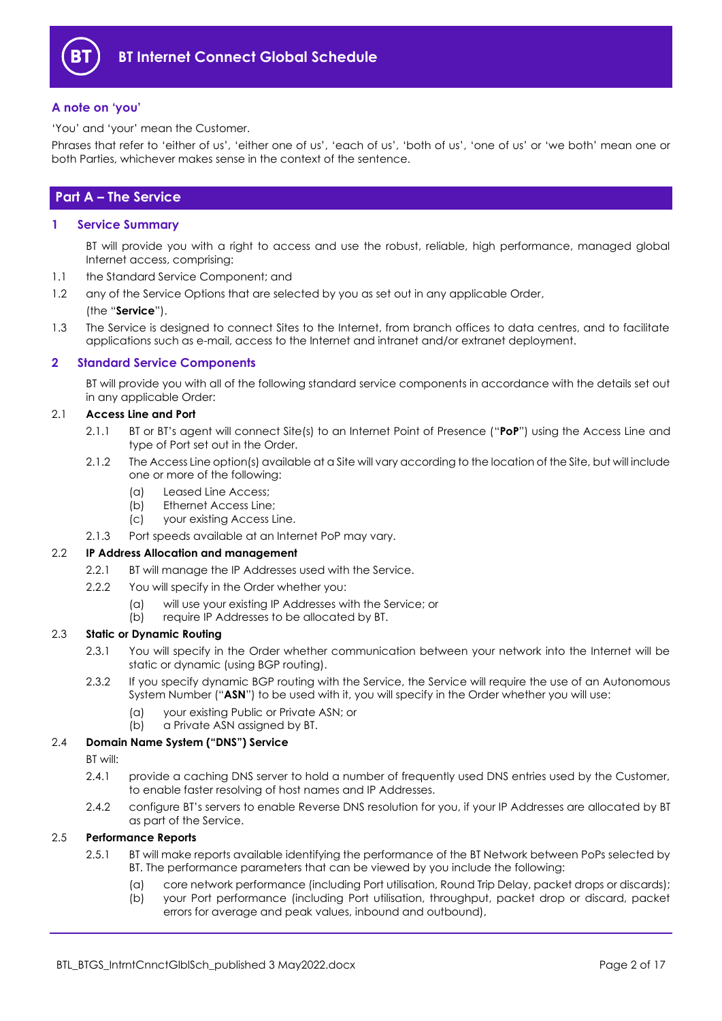

#### <span id="page-1-0"></span>**A note on 'you'**

'You' and 'your' mean the Customer.

Phrases that refer to 'either of us', 'either one of us', 'each of us', 'both of us', 'one of us' or 'we both' mean one or both Parties, whichever makes sense in the context of the sentence.

# <span id="page-1-1"></span>**Part A – The Service**

#### <span id="page-1-2"></span>**1 Service Summary**

BT will provide you with a right to access and use the robust, reliable, high performance, managed global Internet access, comprising:

- 1.1 the Standard Service Component; and
- 1.2 any of the Service Options that are selected by you as set out in any applicable Order,

#### (the "**Service**").

1.3 The Service is designed to connect Sites to the Internet, from branch offices to data centres, and to facilitate applications such as e-mail, access to the Internet and intranet and/or extranet deployment.

#### <span id="page-1-3"></span>**2 Standard Service Components**

BT will provide you with all of the following standard service components in accordance with the details set out in any applicable Order:

#### 2.1 **Access Line and Port**

- 2.1.1 BT or BT's agent will connect Site(s) to an Internet Point of Presence ("**PoP**") using the Access Line and type of Port set out in the Order.
- 2.1.2 The Access Line option(s) available at a Site will vary according to the location of the Site, but will include one or more of the following:
	- (a) Leased Line Access;
	- (b) Ethernet Access Line;
	- (c) your existing Access Line.
- 2.1.3 Port speeds available at an Internet PoP may vary.

#### 2.2 **IP Address Allocation and management**

- 2.2.1 BT will manage the IP Addresses used with the Service.
- 2.2.2 You will specify in the Order whether you:
	- (a) will use your existing IP Addresses with the Service; or
	- (b) require IP Addresses to be allocated by BT.

## 2.3 **Static or Dynamic Routing**

- 2.3.1 You will specify in the Order whether communication between your network into the Internet will be static or dynamic (using BGP routing).
- 2.3.2 If you specify dynamic BGP routing with the Service, the Service will require the use of an Autonomous System Number ("**ASN**") to be used with it, you will specify in the Order whether you will use:
	- (a) your existing Public or Private ASN; or
	- (b) a Private ASN assigned by BT.

#### 2.4 **Domain Name System ("DNS") Service**

BT will:

- 2.4.1 provide a caching DNS server to hold a number of frequently used DNS entries used by the Customer, to enable faster resolving of host names and IP Addresses.
- 2.4.2 configure BT's servers to enable Reverse DNS resolution for you, if your IP Addresses are allocated by BT as part of the Service.

#### <span id="page-1-5"></span><span id="page-1-4"></span>2.5 **Performance Reports**

- 2.5.1 BT will make reports available identifying the performance of the BT Network between PoPs selected by BT. The performance parameters that can be viewed by you include the following:
	- (a) core network performance (including Port utilisation, Round Trip Delay, packet drops or discards); (b) your Port performance (including Port utilisation, throughput, packet drop or discard, packet errors for average and peak values, inbound and outbound),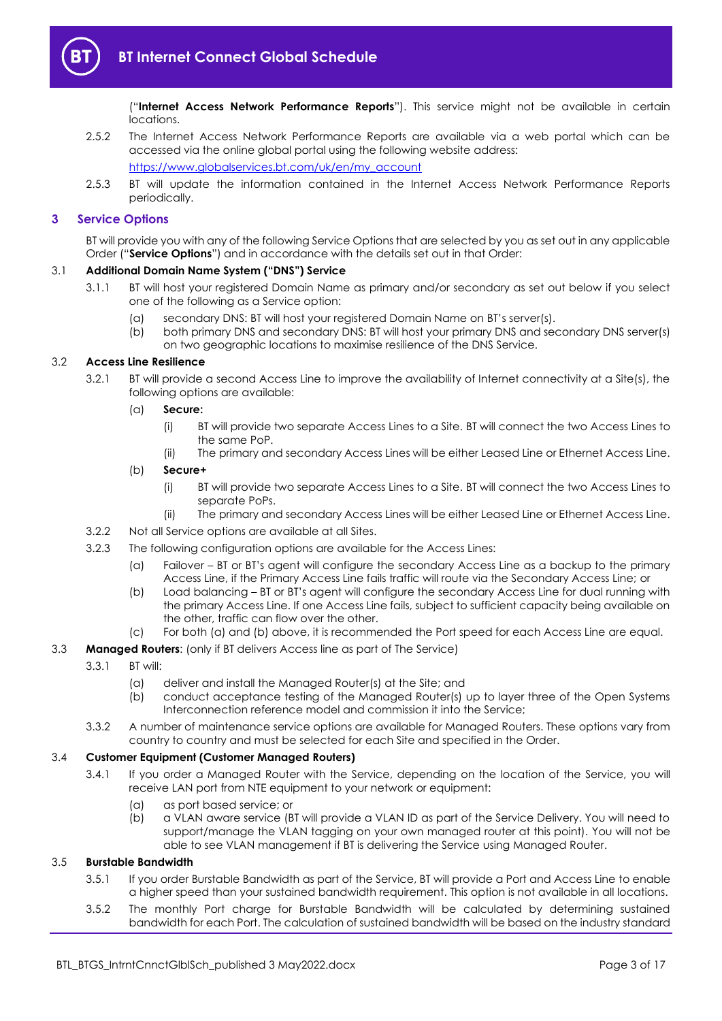

("**Internet Access Network Performance Reports**"). This service might not be available in certain locations.

- 2.5.2 The Internet Access Network Performance Reports are available via a web portal which can be accessed via the online global portal using the following website address: [https://www.globalservices.bt.com/uk/en/my\\_account](https://www.globalservices.bt.com/uk/en/my_account)
- 2.5.3 BT will update the information contained in the Internet Access Network Performance Reports periodically.

#### <span id="page-2-0"></span>**3 Service Options**

BT will provide you with any of the following Service Options that are selected by you as set out in any applicable Order ("**Service Options**") and in accordance with the details set out in that Order:

## 3.1 **Additional Domain Name System ("DNS") Service**

- 3.1.1 BT will host your registered Domain Name as primary and/or secondary as set out below if you select one of the following as a Service option:
	- (a) secondary DNS: BT will host your registered Domain Name on BT's server(s).
	- (b) both primary DNS and secondary DNS: BT will host your primary DNS and secondary DNS server(s) on two geographic locations to maximise resilience of the DNS Service.

#### <span id="page-2-1"></span>3.2 **Access Line Resilience**

3.2.1 BT will provide a second Access Line to improve the availability of Internet connectivity at a Site(s), the following options are available:

#### (a) **Secure:**

- (i) BT will provide two separate Access Lines to a Site. BT will connect the two Access Lines to the same PoP.
- (ii) The primary and secondary Access Lines will be either Leased Line or Ethernet Access Line.

# (b) **Secure+**

- (i) BT will provide two separate Access Lines to a Site. BT will connect the two Access Lines to separate PoPs.
- (ii) The primary and secondary Access Lines will be either Leased Line or Ethernet Access Line.
- 3.2.2 Not all Service options are available at all Sites.
- 3.2.3 The following configuration options are available for the Access Lines:
	- (a) Failover BT or BT's agent will configure the secondary Access Line as a backup to the primary Access Line, if the Primary Access Line fails traffic will route via the Secondary Access Line; or
	- (b) Load balancing BT or BT's agent will configure the secondary Access Line for dual running with the primary Access Line. If one Access Line fails, subject to sufficient capacity being available on the other, traffic can flow over the other.
	- (c) For both (a) and (b) above, it is recommended the Port speed for each Access Line are equal.

#### 3.3 **Managed Routers**: (only if BT delivers Access line as part of The Service)

- 3.3.1 BT will:
	- (a) deliver and install the Managed Router(s) at the Site; and
	- (b) conduct acceptance testing of the Managed Router(s) up to layer three of the Open Systems Interconnection reference model and commission it into the Service;
- 3.3.2 A number of maintenance service options are available for Managed Routers. These options vary from country to country and must be selected for each Site and specified in the Order.

#### 3.4 **Customer Equipment (Customer Managed Routers)**

- 3.4.1 If you order a Managed Router with the Service, depending on the location of the Service, you will receive LAN port from NTE equipment to your network or equipment:
	- (a) as port based service; or
	- (b) a VLAN aware service (BT will provide a VLAN ID as part of the Service Delivery. You will need to support/manage the VLAN tagging on your own managed router at this point). You will not be able to see VLAN management if BT is delivering the Service using Managed Router.

#### <span id="page-2-2"></span>3.5 **Burstable Bandwidth**

- 3.5.1 If you order Burstable Bandwidth as part of the Service, BT will provide a Port and Access Line to enable a higher speed than your sustained bandwidth requirement. This option is not available in all locations.
- 3.5.2 The monthly Port charge for Burstable Bandwidth will be calculated by determining sustained bandwidth for each Port. The calculation of sustained bandwidth will be based on the industry standard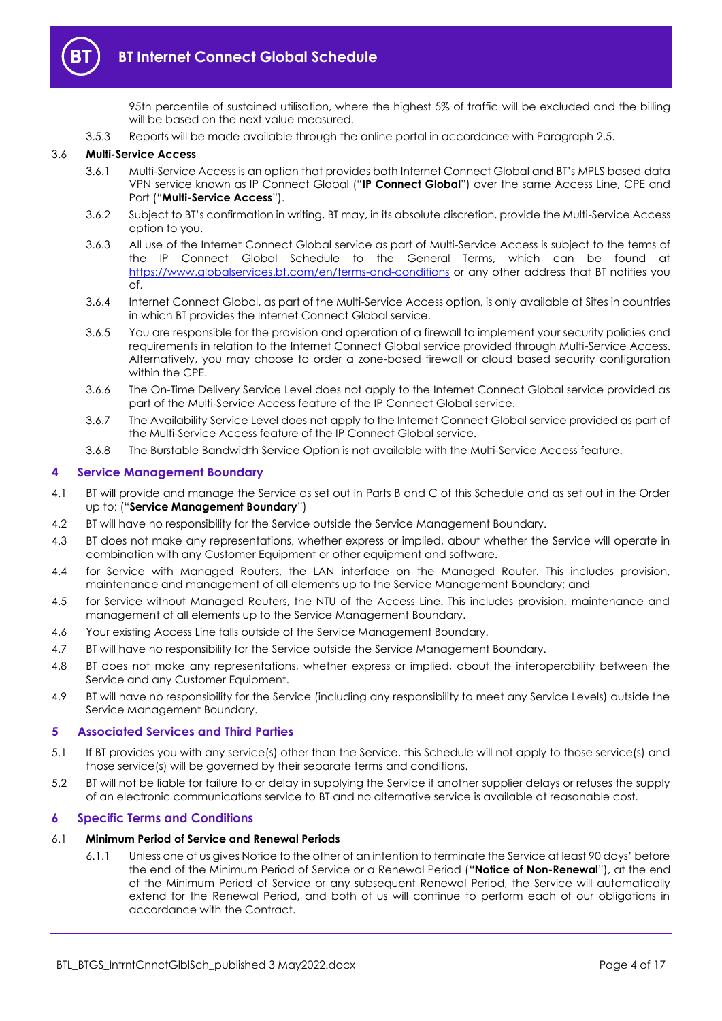

95th percentile of sustained utilisation, where the highest 5% of traffic will be excluded and the billing will be based on the next value measured.

3.5.3 Reports will be made available through the online portal in accordance with Paragraph [2.5.](#page-1-4)

#### <span id="page-3-3"></span>3.6 **Multi-Service Access**

- 3.6.1 Multi-Service Access is an option that provides both Internet Connect Global and BT's MPLS based data VPN service known as IP Connect Global ("**IP Connect Global**") over the same Access Line, CPE and Port ("**Multi-Service Access**").
- 3.6.2 Subject to BT's confirmation in writing, BT may, in its absolute discretion, provide the Multi-Service Access option to you.
- 3.6.3 All use of the Internet Connect Global service as part of Multi-Service Access is subject to the terms of the IP Connect Global Schedule to the General Terms, which can be found at <https://www.globalservices.bt.com/en/terms-and-conditions> or any other address that BT notifies you of.
- 3.6.4 Internet Connect Global, as part of the Multi-Service Access option, is only available at Sites in countries in which BT provides the Internet Connect Global service.
- 3.6.5 You are responsible for the provision and operation of a firewall to implement your security policies and requirements in relation to the Internet Connect Global service provided through Multi-Service Access. Alternatively, you may choose to order a zone-based firewall or cloud based security configuration within the CPE.
- 3.6.6 The On-Time Delivery Service Level does not apply to the Internet Connect Global service provided as part of the Multi-Service Access feature of the IP Connect Global service.
- 3.6.7 The Availability Service Level does not apply to the Internet Connect Global service provided as part of the Multi-Service Access feature of the IP Connect Global service.
- 3.6.8 The Burstable Bandwidth Service Option is not available with the Multi-Service Access feature.

#### <span id="page-3-0"></span>**4 Service Management Boundary**

- <span id="page-3-4"></span>4.1 BT will provide and manage the Service as set out in Parts B and C of this Schedule and as set out in the Order up to; ("**Service Management Boundary**")
- 4.2 BT will have no responsibility for the Service outside the Service Management Boundary.
- 4.3 BT does not make any representations, whether express or implied, about whether the Service will operate in combination with any Customer Equipment or other equipment and software.
- 4.4 for Service with Managed Routers, the LAN interface on the Managed Router. This includes provision, maintenance and management of all elements up to the Service Management Boundary; and
- 4.5 for Service without Managed Routers, the NTU of the Access Line. This includes provision, maintenance and management of all elements up to the Service Management Boundary.
- 4.6 Your existing Access Line falls outside of the Service Management Boundary.
- 4.7 BT will have no responsibility for the Service outside the Service Management Boundary.
- 4.8 BT does not make any representations, whether express or implied, about the interoperability between the Service and any Customer Equipment.
- 4.9 BT will have no responsibility for the Service (including any responsibility to meet any Service Levels) outside the Service Management Boundary.

#### <span id="page-3-1"></span>**5 Associated Services and Third Parties**

- 5.1 If BT provides you with any service(s) other than the Service, this Schedule will not apply to those service(s) and those service(s) will be governed by their separate terms and conditions.
- 5.2 BT will not be liable for failure to or delay in supplying the Service if another supplier delays or refuses the supply of an electronic communications service to BT and no alternative service is available at reasonable cost.

#### <span id="page-3-2"></span>**6 Specific Terms and Conditions**

#### 6.1 **Minimum Period of Service and Renewal Periods**

6.1.1 Unless one of us gives Notice to the other of an intention to terminate the Service at least 90 days' before the end of the Minimum Period of Service or a Renewal Period ("**Notice of Non-Renewal**"), at the end of the Minimum Period of Service or any subsequent Renewal Period, the Service will automatically extend for the Renewal Period, and both of us will continue to perform each of our obligations in accordance with the Contract.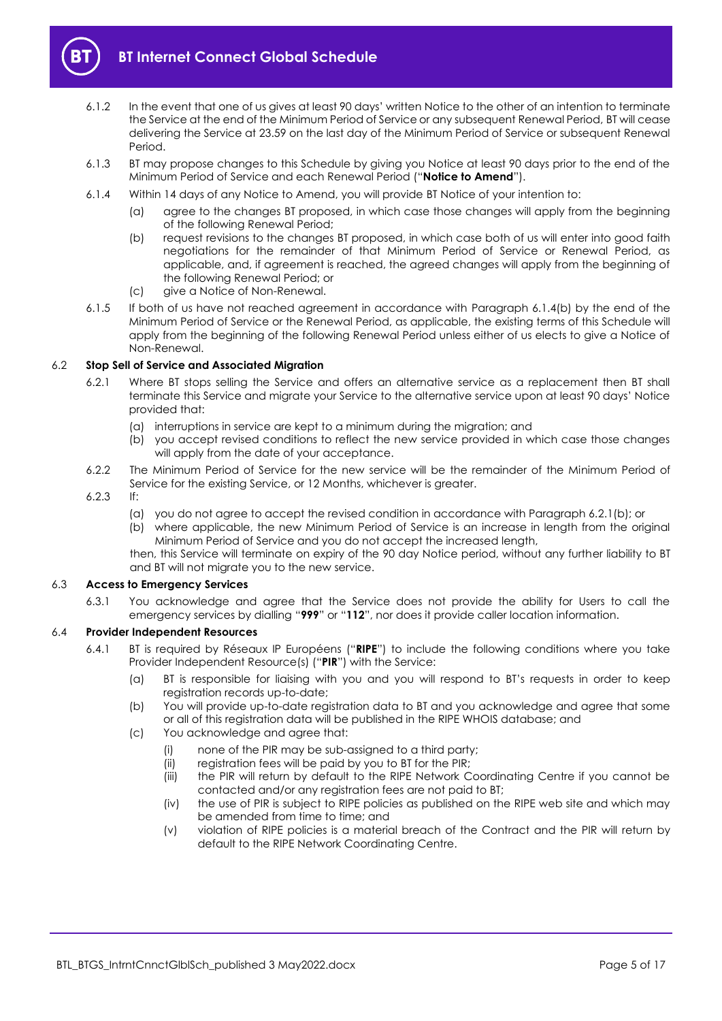

- 6.1.2 In the event that one of us gives at least 90 days' written Notice to the other of an intention to terminate the Service at the end of the Minimum Period of Service or any subsequent Renewal Period, BT will cease delivering the Service at 23.59 on the last day of the Minimum Period of Service or subsequent Renewal Period.
- 6.1.3 BT may propose changes to this Schedule by giving you Notice at least 90 days prior to the end of the Minimum Period of Service and each Renewal Period ("**Notice to Amend**").
- <span id="page-4-0"></span>6.1.4 Within 14 days of any Notice to Amend, you will provide BT Notice of your intention to:
	- (a) agree to the changes BT proposed, in which case those changes will apply from the beginning of the following Renewal Period;
	- (b) request revisions to the changes BT proposed, in which case both of us will enter into good faith negotiations for the remainder of that Minimum Period of Service or Renewal Period, as applicable, and, if agreement is reached, the agreed changes will apply from the beginning of the following Renewal Period; or
	- (c) give a Notice of Non-Renewal.
- 6.1.5 If both of us have not reached agreement in accordance with Paragraph [6.1.4\(b\)](#page-4-0) by the end of the Minimum Period of Service or the Renewal Period, as applicable, the existing terms of this Schedule will apply from the beginning of the following Renewal Period unless either of us elects to give a Notice of Non-Renewal.

## 6.2 **Stop Sell of Service and Associated Migration**

- 6.2.1 Where BT stops selling the Service and offers an alternative service as a replacement then BT shall terminate this Service and migrate your Service to the alternative service upon at least 90 days' Notice provided that:
	- (a) interruptions in service are kept to a minimum during the migration; and
	- (b) you accept revised conditions to reflect the new service provided in which case those changes will apply from the date of your acceptance.
- 6.2.2 The Minimum Period of Service for the new service will be the remainder of the Minimum Period of Service for the existing Service, or 12 Months, whichever is greater.

## 6.2.3 If:

- (a) you do not agree to accept the revised condition in accordance with Paragraph 6.2.1(b); or
- (b) where applicable, the new Minimum Period of Service is an increase in length from the original Minimum Period of Service and you do not accept the increased length,
- then, this Service will terminate on expiry of the 90 day Notice period, without any further liability to BT and BT will not migrate you to the new service.

#### 6.3 **Access to Emergency Services**

6.3.1 You acknowledge and agree that the Service does not provide the ability for Users to call the emergency services by dialling "**999**" or "**112**", nor does it provide caller location information.

#### <span id="page-4-1"></span>6.4 **Provider Independent Resources**

- 6.4.1 BT is required by Réseaux IP Européens ("**RIPE**") to include the following conditions where you take Provider Independent Resource(s) ("**PIR**") with the Service:
	- (a) BT is responsible for liaising with you and you will respond to BT's requests in order to keep registration records up-to-date;
	- (b) You will provide up-to-date registration data to BT and you acknowledge and agree that some or all of this registration data will be published in the RIPE WHOIS database; and
	- (c) You acknowledge and agree that:
		- (i) none of the PIR may be sub-assigned to a third party;
		- (ii) registration fees will be paid by you to BT for the PIR;<br>(iii) the PIR will return by default to the RIPE Network C
		- the PIR will return by default to the RIPE Network Coordinating Centre if you cannot be contacted and/or any registration fees are not paid to BT;
		- (iv) the use of PIR is subject to RIPE policies as published on the RIPE web site and which may be amended from time to time; and
		- (v) violation of RIPE policies is a material breach of the Contract and the PIR will return by default to the RIPE Network Coordinating Centre.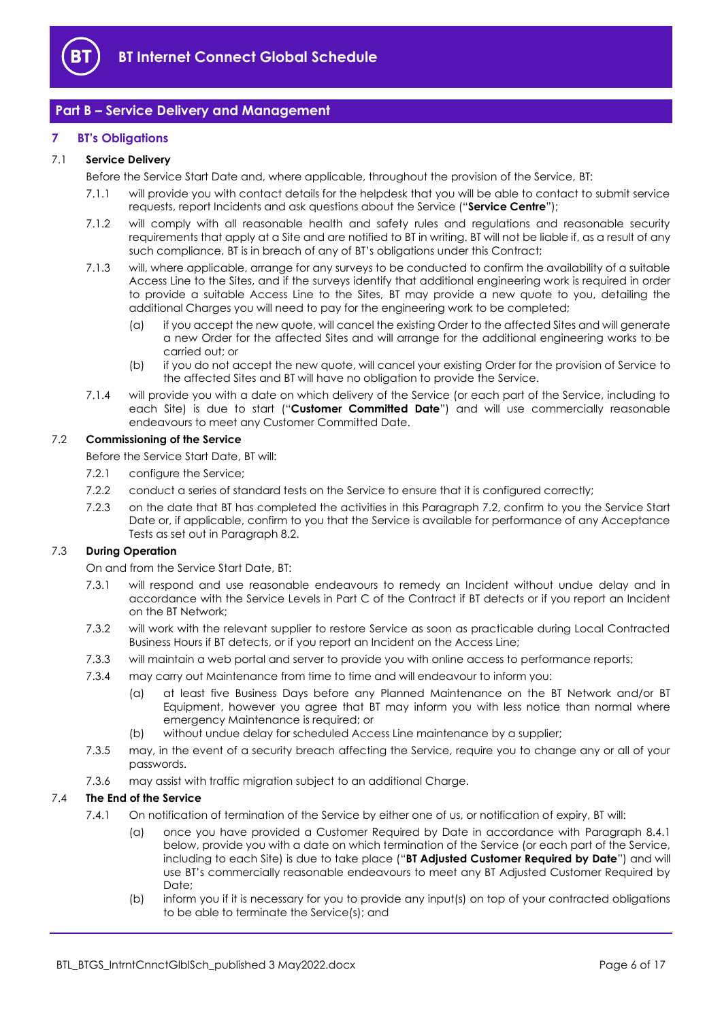

# <span id="page-5-0"></span>**Part B – Service Delivery and Management**

## <span id="page-5-1"></span>**7 BT's Obligations**

# <span id="page-5-9"></span>7.1 **Service Delivery**

Before the Service Start Date and, where applicable, throughout the provision of the Service, BT:

- 7.1.1 will provide you with contact details for the helpdesk that you will be able to contact to submit service requests, report Incidents and ask questions about the Service ("**Service Centre**");
- 7.1.2 will comply with all reasonable health and safety rules and regulations and reasonable security requirements that apply at a Site and are notified to BT in writing. BT will not be liable if, as a result of any such compliance, BT is in breach of any of BT's obligations under this Contract;
- 7.1.3 will, where applicable, arrange for any surveys to be conducted to confirm the availability of a suitable Access Line to the Sites, and if the surveys identify that additional engineering work is required in order to provide a suitable Access Line to the Sites, BT may provide a new quote to you, detailing the additional Charges you will need to pay for the engineering work to be completed;
	- (a) if you accept the new quote, will cancel the existing Order to the affected Sites and will generate a new Order for the affected Sites and will arrange for the additional engineering works to be carried out; or
	- (b) if you do not accept the new quote, will cancel your existing Order for the provision of Service to the affected Sites and BT will have no obligation to provide the Service.
- <span id="page-5-4"></span>7.1.4 will provide you with a date on which delivery of the Service (or each part of the Service, including to each Site) is due to start ("**Customer Committed Date**") and will use commercially reasonable endeavours to meet any Customer Committed Date.

#### <span id="page-5-5"></span><span id="page-5-2"></span>7.2 **Commissioning of the Service**

Before the Service Start Date, BT will:

- 7.2.1 configure the Service:
- 7.2.2 conduct a series of standard tests on the Service to ensure that it is configured correctly;
- <span id="page-5-3"></span>7.2.3 on the date that BT has completed the activities in this Paragraph [7.2,](#page-5-2) confirm to you the Service Start Date or, if applicable, confirm to you that the Service is available for performance of any Acceptance Tests as set out in Paragraph [8.2.](#page-6-1)

# <span id="page-5-6"></span>7.3 **During Operation**

On and from the Service Start Date, BT:

- 7.3.1 will respond and use reasonable endeavours to remedy an Incident without undue delay and in accordance with the Service Levels in Part C of the Contract if BT detects or if you report an Incident on the BT Network;
- <span id="page-5-7"></span>7.3.2 will work with the relevant supplier to restore Service as soon as practicable during Local Contracted Business Hours if BT detects, or if you report an Incident on the Access Line;
- 7.3.3 will maintain a web portal and server to provide you with online access to performance reports;
- 7.3.4 may carry out Maintenance from time to time and will endeavour to inform you:
	- (a) at least five Business Days before any Planned Maintenance on the BT Network and/or BT Equipment, however you agree that BT may inform you with less notice than normal where emergency Maintenance is required; or
	- (b) without undue delay for scheduled Access Line maintenance by a supplier;
- 7.3.5 may, in the event of a security breach affecting the Service, require you to change any or all of your passwords.
- 7.3.6 may assist with traffic migration subject to an additional Charge.

# <span id="page-5-8"></span>7.4 **The End of the Service**

- 7.4.1 On notification of termination of the Service by either one of us, or notification of expiry, BT will:
	- (a) once you have provided a Customer Required by Date in accordance with Paragraph [8.4.1](#page-7-0) below, provide you with a date on which termination of the Service (or each part of the Service, including to each Site) is due to take place ("**BT Adjusted Customer Required by Date**") and will use BT's commercially reasonable endeavours to meet any BT Adjusted Customer Required by Date;
	- (b) inform you if it is necessary for you to provide any input(s) on top of your contracted obligations to be able to terminate the Service(s); and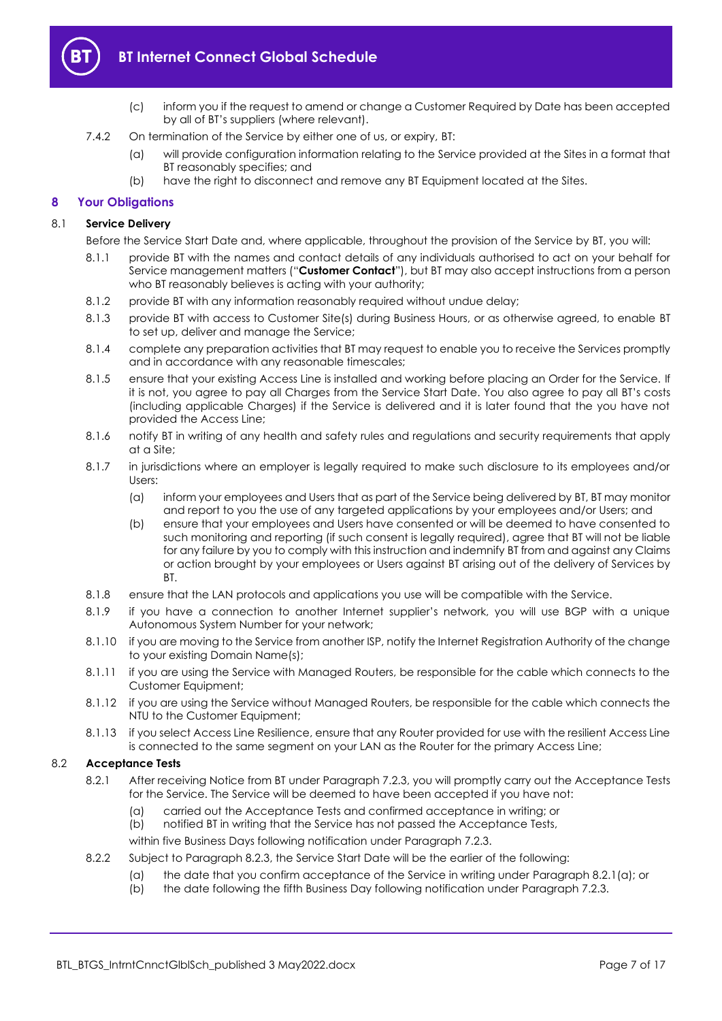

- (c) inform you if the request to amend or change a Customer Required by Date has been accepted by all of BT's suppliers (where relevant).
- 7.4.2 On termination of the Service by either one of us, or expiry, BT:
	- (a) will provide configuration information relating to the Service provided at the Sites in a format that BT reasonably specifies; and
	- (b) have the right to disconnect and remove any BT Equipment located at the Sites.

# <span id="page-6-0"></span>**8 Your Obligations**

#### <span id="page-6-3"></span>8.1 **Service Delivery**

Before the Service Start Date and, where applicable, throughout the provision of the Service by BT, you will:

- 8.1.1 provide BT with the names and contact details of any individuals authorised to act on your behalf for Service management matters ("**Customer Contact**"), but BT may also accept instructions from a person who BT reasonably believes is acting with your authority;
- 8.1.2 provide BT with any information reasonably required without undue delay;
- 8.1.3 provide BT with access to Customer Site(s) during Business Hours, or as otherwise agreed, to enable BT to set up, deliver and manage the Service;
- 8.1.4 complete any preparation activities that BT may request to enable you to receive the Services promptly and in accordance with any reasonable timescales;
- 8.1.5 ensure that your existing Access Line is installed and working before placing an Order for the Service. If it is not, you agree to pay all Charges from the Service Start Date. You also agree to pay all BT's costs (including applicable Charges) if the Service is delivered and it is later found that the you have not provided the Access Line;
- 8.1.6 notify BT in writing of any health and safety rules and regulations and security requirements that apply at a Site;
- 8.1.7 in jurisdictions where an employer is legally required to make such disclosure to its employees and/or Users:
	- (a) inform your employees and Users that as part of the Service being delivered by BT, BT may monitor and report to you the use of any targeted applications by your employees and/or Users; and
	- (b) ensure that your employees and Users have consented or will be deemed to have consented to such monitoring and reporting (if such consent is legally required), agree that BT will not be liable for any failure by you to comply with this instruction and indemnify BT from and against any Claims or action brought by your employees or Users against BT arising out of the delivery of Services by BT.
- 8.1.8 ensure that the LAN protocols and applications you use will be compatible with the Service.
- 8.1.9 if you have a connection to another Internet supplier's network, you will use BGP with a unique Autonomous System Number for your network;
- 8.1.10 if you are moving to the Service from another ISP, notify the Internet Registration Authority of the change to your existing Domain Name(s);
- 8.1.11 if you are using the Service with Managed Routers, be responsible for the cable which connects to the Customer Equipment;
- 8.1.12 if you are using the Service without Managed Routers, be responsible for the cable which connects the NTU to the Customer Equipment;
- 8.1.13 if you select Access Line Resilience, ensure that any Router provided for use with the resilient Access Line is connected to the same segment on your LAN as the Router for the primary Access Line;

#### <span id="page-6-2"></span><span id="page-6-1"></span>8.2 **Acceptance Tests**

- 8.2.1 After receiving Notice from BT under Paragraph [7.2.3,](#page-5-3) you will promptly carry out the Acceptance Tests for the Service. The Service will be deemed to have been accepted if you have not:
	- (a) carried out the Acceptance Tests and confirmed acceptance in writing; or
	- (b) notified BT in writing that the Service has not passed the Acceptance Tests,

within five Business Days following notification under Paragraph [7.2.3.](#page-5-3)

- 8.2.2 Subject to Paragraph [8.2.3,](#page-7-1) the Service Start Date will be the earlier of the following:
	- (a) the date that you confirm acceptance of the Service in writing under Paragraph [8.2.1\(a\);](#page-6-2) or
	- (b) the date following the fifth Business Day following notification under Paragraph [7.2.3.](#page-5-3)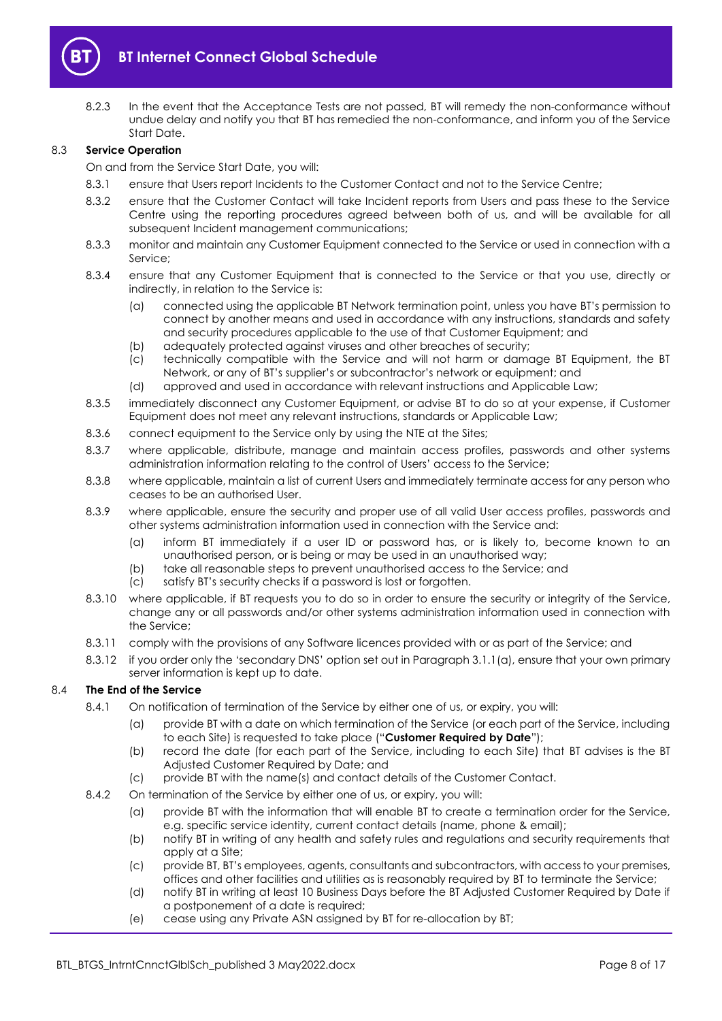

<span id="page-7-1"></span>8.2.3 In the event that the Acceptance Tests are not passed, BT will remedy the non-conformance without undue delay and notify you that BT has remedied the non-conformance, and inform you of the Service Start Date.

#### 8.3 **Service Operation**

On and from the Service Start Date, you will:

- 8.3.1 ensure that Users report Incidents to the Customer Contact and not to the Service Centre;
- 8.3.2 ensure that the Customer Contact will take Incident reports from Users and pass these to the Service Centre using the reporting procedures agreed between both of us, and will be available for all subsequent Incident management communications;
- 8.3.3 monitor and maintain any Customer Equipment connected to the Service or used in connection with a Service;
- 8.3.4 ensure that any Customer Equipment that is connected to the Service or that you use, directly or indirectly, in relation to the Service is:
	- (a) connected using the applicable BT Network termination point, unless you have BT's permission to connect by another means and used in accordance with any instructions, standards and safety and security procedures applicable to the use of that Customer Equipment; and
	- (b) adequately protected against viruses and other breaches of security;
	- (c) technically compatible with the Service and will not harm or damage BT Equipment, the BT Network, or any of BT's supplier's or subcontractor's network or equipment; and
	- (d) approved and used in accordance with relevant instructions and Applicable Law;
- 8.3.5 immediately disconnect any Customer Equipment, or advise BT to do so at your expense, if Customer Equipment does not meet any relevant instructions, standards or Applicable Law;
- 8.3.6 connect equipment to the Service only by using the NTE at the Sites:
- 8.3.7 where applicable, distribute, manage and maintain access profiles, passwords and other systems administration information relating to the control of Users' access to the Service;
- 8.3.8 where applicable, maintain a list of current Users and immediately terminate access for any person who ceases to be an authorised User.
- 8.3.9 where applicable, ensure the security and proper use of all valid User access profiles, passwords and other systems administration information used in connection with the Service and:
	- (a) inform BT immediately if a user ID or password has, or is likely to, become known to an unauthorised person, or is being or may be used in an unauthorised way;
	- (b) take all reasonable steps to prevent unauthorised access to the Service; and
	- (c) satisfy BT's security checks if a password is lost or forgotten.
- 8.3.10 where applicable, if BT requests you to do so in order to ensure the security or integrity of the Service, change any or all passwords and/or other systems administration information used in connection with the Service;
- 8.3.11 comply with the provisions of any Software licences provided with or as part of the Service; and
- 8.3.12 if you order only the 'secondary DNS' option set out in Paragraph [3.1.1\(a\),](#page-2-1) ensure that your own primary server information is kept up to date.

#### <span id="page-7-2"></span><span id="page-7-0"></span>8.4 **The End of the Service**

- 8.4.1 On notification of termination of the Service by either one of us, or expiry, you will:
	- (a) provide BT with a date on which termination of the Service (or each part of the Service, including to each Site) is requested to take place ("**Customer Required by Date**");
	- (b) record the date (for each part of the Service, including to each Site) that BT advises is the BT Adjusted Customer Required by Date; and
	- (c) provide BT with the name(s) and contact details of the Customer Contact.
- 8.4.2 On termination of the Service by either one of us, or expiry, you will:
	- (a) provide BT with the information that will enable BT to create a termination order for the Service, e.g. specific service identity, current contact details (name, phone & email);
	- (b) notify BT in writing of any health and safety rules and regulations and security requirements that apply at a Site;
	- (c) provide BT, BT's employees, agents, consultants and subcontractors, with access to your premises, offices and other facilities and utilities as is reasonably required by BT to terminate the Service;
	- (d) notify BT in writing at least 10 Business Days before the BT Adjusted Customer Required by Date if a postponement of a date is required;
	- (e) cease using any Private ASN assigned by BT for re-allocation by BT;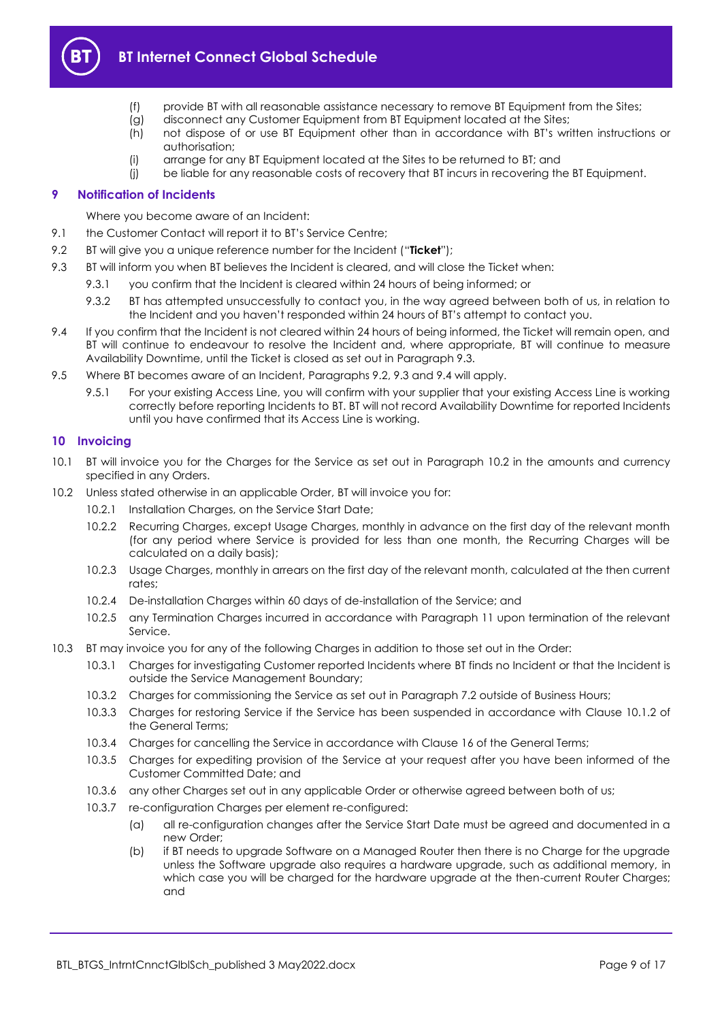

- (f) provide BT with all reasonable assistance necessary to remove BT Equipment from the Sites;
- (g) disconnect any Customer Equipment from BT Equipment located at the Sites;
- (h) not dispose of or use BT Equipment other than in accordance with BT's written instructions or authorisation;
- (i) arrange for any BT Equipment located at the Sites to be returned to BT; and
- (j) be liable for any reasonable costs of recovery that BT incurs in recovering the BT Equipment.

# <span id="page-8-0"></span>**9 Notification of Incidents**

Where you become aware of an Incident:

- 9.1 the Customer Contact will report it to BT's Service Centre;
- <span id="page-8-3"></span>9.2 BT will give you a unique reference number for the Incident ("**Ticket**");
- <span id="page-8-2"></span>9.3 BT will inform you when BT believes the Incident is cleared, and will close the Ticket when:
	- 9.3.1 you confirm that the Incident is cleared within 24 hours of being informed; or
		- 9.3.2 BT has attempted unsuccessfully to contact you, in the way agreed between both of us, in relation to the Incident and you haven't responded within 24 hours of BT's attempt to contact you.
- <span id="page-8-4"></span>9.4 If you confirm that the Incident is not cleared within 24 hours of being informed, the Ticket will remain open, and BT will continue to endeavour to resolve the Incident and, where appropriate, BT will continue to measure Availability Downtime, until the Ticket is closed as set out in Paragraph [9.3.](#page-8-2)
- 9.5 Where BT becomes aware of an Incident, Paragraphs [9.2,](#page-8-3) [9.3](#page-8-2) and [9.4](#page-8-4) will apply.
	- 9.5.1 For your existing Access Line, you will confirm with your supplier that your existing Access Line is working correctly before reporting Incidents to BT. BT will not record Availability Downtime for reported Incidents until you have confirmed that its Access Line is working.

#### <span id="page-8-1"></span>**10 Invoicing**

- 10.1 BT will invoice you for the Charges for the Service as set out in Paragraph [10.2](#page-8-5) in the amounts and currency specified in any Orders.
- <span id="page-8-5"></span>10.2 Unless stated otherwise in an applicable Order, BT will invoice you for:
	- 10.2.1 Installation Charges, on the Service Start Date;
	- 10.2.2 Recurring Charges, except Usage Charges, monthly in advance on the first day of the relevant month (for any period where Service is provided for less than one month, the Recurring Charges will be calculated on a daily basis);
	- 10.2.3 Usage Charges, monthly in arrears on the first day of the relevant month, calculated at the then current rates;
	- 10.2.4 De-installation Charges within 60 days of de-installation of the Service; and
	- 10.2.5 any Termination Charges incurred in accordance with Paragraph [11](#page-9-0) upon termination of the relevant Service.
- 10.3 BT may invoice you for any of the following Charges in addition to those set out in the Order:
	- 10.3.1 Charges for investigating Customer reported Incidents where BT finds no Incident or that the Incident is outside the Service Management Boundary;
	- 10.3.2 Charges for commissioning the Service as set out in Paragraph [7.2](#page-5-2) outside of Business Hours;
	- 10.3.3 Charges for restoring Service if the Service has been suspended in accordance with Clause 10.1.2 of the General Terms;
	- 10.3.4 Charges for cancelling the Service in accordance with Clause 16 of the General Terms;
	- 10.3.5 Charges for expediting provision of the Service at your request after you have been informed of the Customer Committed Date; and
	- 10.3.6 any other Charges set out in any applicable Order or otherwise agreed between both of us;
	- 10.3.7 re-configuration Charges per element re-configured:
		- (a) all re-configuration changes after the Service Start Date must be agreed and documented in a new Order;
		- (b) if BT needs to upgrade Software on a Managed Router then there is no Charge for the upgrade unless the Software upgrade also requires a hardware upgrade, such as additional memory, in which case you will be charged for the hardware upgrade at the then-current Router Charges; and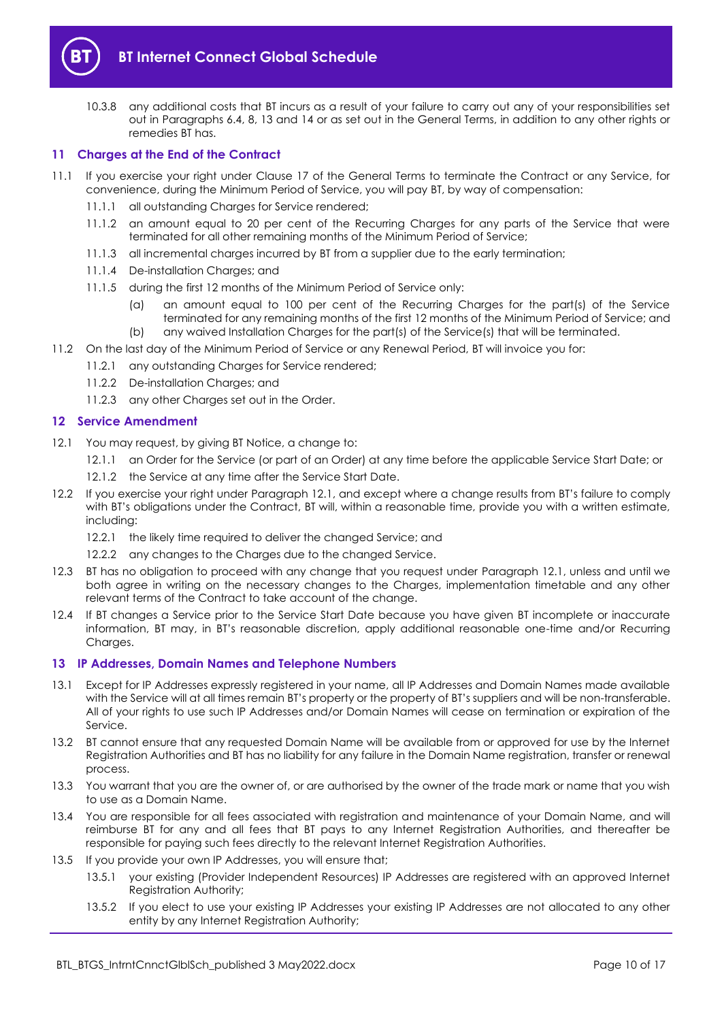

10.3.8 any additional costs that BT incurs as a result of your failure to carry out any of your responsibilities set out in Paragraphs [6.4,](#page-4-1) [8,](#page-6-0) [13](#page-9-2) and [14](#page-10-0) or as set out in the General Terms, in addition to any other rights or remedies BT has.

## <span id="page-9-0"></span>**11 Charges at the End of the Contract**

- 11.1 If you exercise your right under Clause 17 of the General Terms to terminate the Contract or any Service, for convenience, during the Minimum Period of Service, you will pay BT, by way of compensation:
	- 11.1.1 all outstanding Charges for Service rendered;
	- 11.1.2 an amount equal to 20 per cent of the Recurring Charges for any parts of the Service that were terminated for all other remaining months of the Minimum Period of Service;
	- 11.1.3 all incremental charges incurred by BT from a supplier due to the early termination;
	- 11.1.4 De-installation Charges; and
	- 11.1.5 during the first 12 months of the Minimum Period of Service only:
		- (a) an amount equal to 100 per cent of the Recurring Charges for the part(s) of the Service terminated for any remaining months of the first 12 months of the Minimum Period of Service; and (b) any waived Installation Charges for the part(s) of the Service(s) that will be terminated.
- 11.2 On the last day of the Minimum Period of Service or any Renewal Period, BT will invoice you for:
	- 11.2.1 any outstanding Charges for Service rendered;
	- 11.2.2 De-installation Charges; and
	- 11.2.3 any other Charges set out in the Order.

#### <span id="page-9-1"></span>**12 Service Amendment**

- <span id="page-9-3"></span>12.1 You may request, by giving BT Notice, a change to:
	- 12.1.1 an Order for the Service (or part of an Order) at any time before the applicable Service Start Date; or
	- 12.1.2 the Service at any time after the Service Start Date.
- 12.2 If you exercise your right under Paragraph [12.1,](#page-9-3) and except where a change results from BT's failure to comply with BT's obligations under the Contract, BT will, within a reasonable time, provide you with a written estimate, including:
	- 12.2.1 the likely time required to deliver the changed Service; and
	- 12.2.2 any changes to the Charges due to the changed Service.
- 12.3 BT has no obligation to proceed with any change that you request under Paragraph [12.1,](#page-9-3) unless and until we both agree in writing on the necessary changes to the Charges, implementation timetable and any other relevant terms of the Contract to take account of the change.
- 12.4 If BT changes a Service prior to the Service Start Date because you have given BT incomplete or inaccurate information, BT may, in BT's reasonable discretion, apply additional reasonable one-time and/or Recurring Charges.

#### <span id="page-9-2"></span>**13 IP Addresses, Domain Names and Telephone Numbers**

- 13.1 Except for IP Addresses expressly registered in your name, all IP Addresses and Domain Names made available with the Service will at all times remain BT's property or the property of BT's suppliers and will be non-transferable. All of your rights to use such IP Addresses and/or Domain Names will cease on termination or expiration of the Service.
- 13.2 BT cannot ensure that any requested Domain Name will be available from or approved for use by the Internet Registration Authorities and BT has no liability for any failure in the Domain Name registration, transfer or renewal process.
- 13.3 You warrant that you are the owner of, or are authorised by the owner of the trade mark or name that you wish to use as a Domain Name.
- 13.4 You are responsible for all fees associated with registration and maintenance of your Domain Name, and will reimburse BT for any and all fees that BT pays to any Internet Registration Authorities, and thereafter be responsible for paying such fees directly to the relevant Internet Registration Authorities.
- 13.5 If you provide your own IP Addresses, you will ensure that;
	- 13.5.1 your existing (Provider Independent Resources) IP Addresses are registered with an approved Internet Registration Authority;
	- 13.5.2 If you elect to use your existing IP Addresses your existing IP Addresses are not allocated to any other entity by any Internet Registration Authority;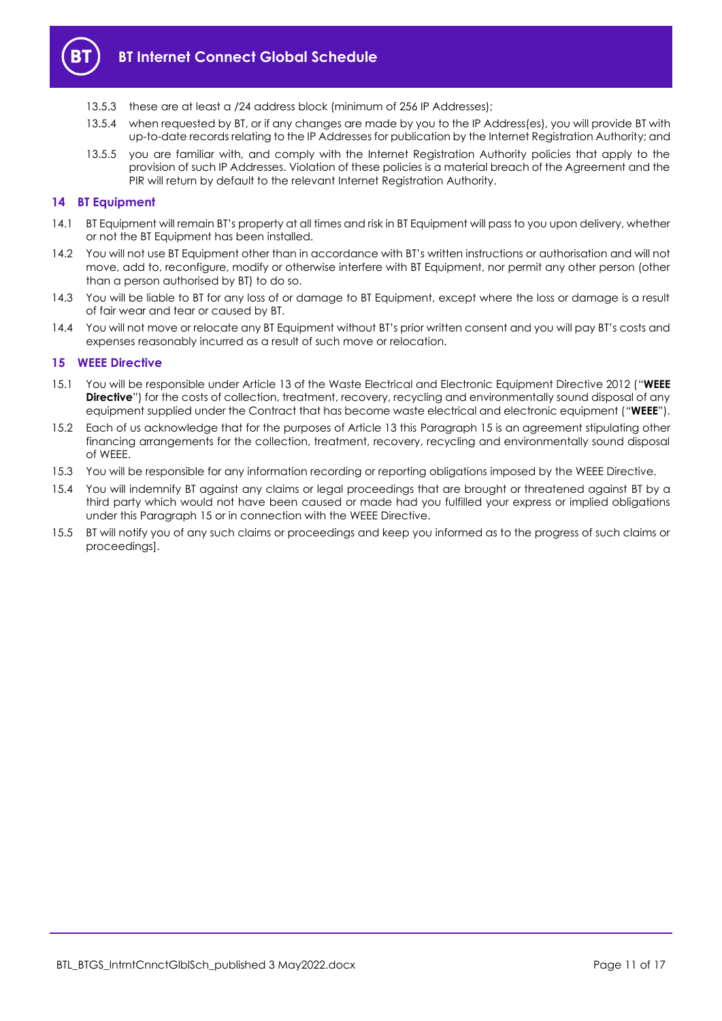

- 13.5.3 these are at least a /24 address block (minimum of 256 IP Addresses);
- 13.5.4 when requested by BT, or if any changes are made by you to the IP Address(es), you will provide BT with up-to-date records relating to the IP Addresses for publication by the Internet Registration Authority; and
- 13.5.5 you are familiar with, and comply with the Internet Registration Authority policies that apply to the provision of such IP Addresses. Violation of these policies is a material breach of the Agreement and the PIR will return by default to the relevant Internet Registration Authority.

#### <span id="page-10-0"></span>**14 BT Equipment**

- 14.1 BT Equipment will remain BT's property at all times and risk in BT Equipment will pass to you upon delivery, whether or not the BT Equipment has been installed.
- 14.2 You will not use BT Equipment other than in accordance with BT's written instructions or authorisation and will not move, add to, reconfigure, modify or otherwise interfere with BT Equipment, nor permit any other person (other than a person authorised by BT) to do so.
- 14.3 You will be liable to BT for any loss of or damage to BT Equipment, except where the loss or damage is a result of fair wear and tear or caused by BT.
- 14.4 You will not move or relocate any BT Equipment without BT's prior written consent and you will pay BT's costs and expenses reasonably incurred as a result of such move or relocation.

#### <span id="page-10-1"></span>**15 WEEE Directive**

- 15.1 You will be responsible under Article 13 of the Waste Electrical and Electronic Equipment Directive 2012 ("**WEEE Directive**") for the costs of collection, treatment, recovery, recycling and environmentally sound disposal of any equipment supplied under the Contract that has become waste electrical and electronic equipment ("**WEEE**").
- 15.2 Each of us acknowledge that for the purposes of Article 13 this Paragraph [15](#page-10-1) is an agreement stipulating other financing arrangements for the collection, treatment, recovery, recycling and environmentally sound disposal of WEEE.
- 15.3 You will be responsible for any information recording or reporting obligations imposed by the WEEE Directive.
- 15.4 You will indemnify BT against any claims or legal proceedings that are brought or threatened against BT by a third party which would not have been caused or made had you fulfilled your express or implied obligations under this Paragraph [15](#page-10-1) or in connection with the WEEE Directive.
- 15.5 BT will notify you of any such claims or proceedings and keep you informed as to the progress of such claims or proceedings].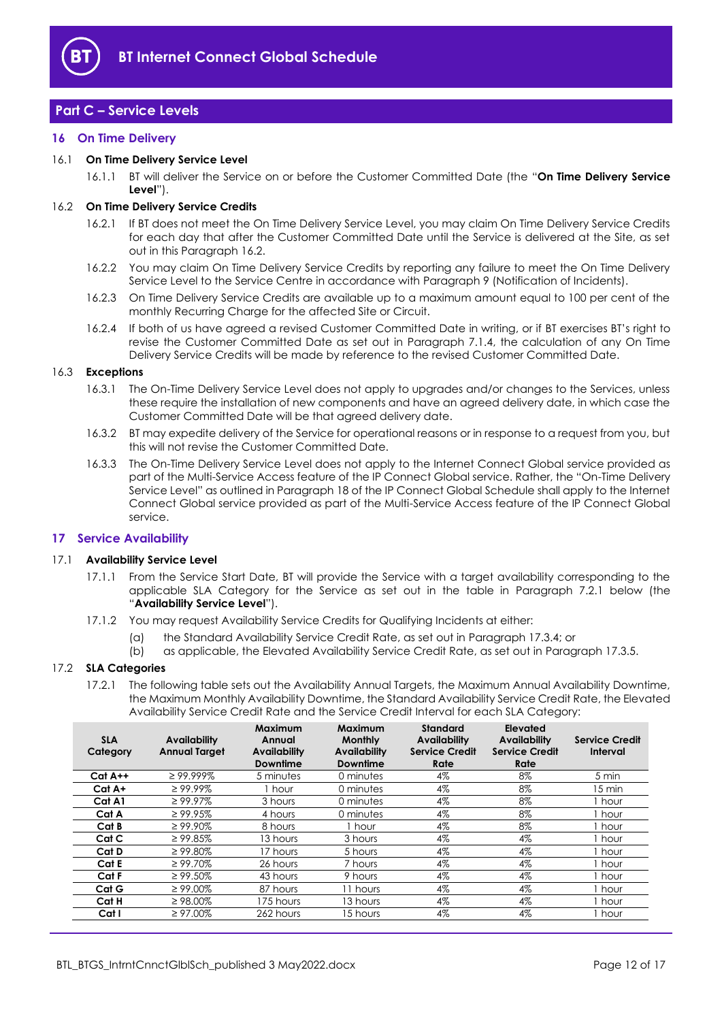

# <span id="page-11-0"></span>**Part C – Service Levels**

# <span id="page-11-1"></span>**16 On Time Delivery**

#### <span id="page-11-6"></span>16.1 **On Time Delivery Service Level**

16.1.1 BT will deliver the Service on or before the Customer Committed Date (the "**On Time Delivery Service Level**").

#### <span id="page-11-3"></span>16.2 **On Time Delivery Service Credits**

- 16.2.1 If BT does not meet the On Time Delivery Service Level, you may claim On Time Delivery Service Credits for each day that after the Customer Committed Date until the Service is delivered at the Site, as set out in this Paragraph [16.2.](#page-11-3)
- 16.2.2 You may claim On Time Delivery Service Credits by reporting any failure to meet the On Time Delivery Service Level to the Service Centre in accordance with Paragraph [9](#page-8-0) (Notification of Incidents).
- 16.2.3 On Time Delivery Service Credits are available up to a maximum amount equal to 100 per cent of the monthly Recurring Charge for the affected Site or Circuit.
- 16.2.4 If both of us have agreed a revised Customer Committed Date in writing, or if BT exercises BT's right to revise the Customer Committed Date as set out in Paragraph [7.1.4,](#page-5-4) the calculation of any On Time Delivery Service Credits will be made by reference to the revised Customer Committed Date.

#### 16.3 **Exceptions**

- 16.3.1 The On-Time Delivery Service Level does not apply to upgrades and/or changes to the Services, unless these require the installation of new components and have an agreed delivery date, in which case the Customer Committed Date will be that agreed delivery date.
- 16.3.2 BT may expedite delivery of the Service for operational reasons or in response to a request from you, but this will not revise the Customer Committed Date.
- 16.3.3 The On-Time Delivery Service Level does not apply to the Internet Connect Global service provided as part of the Multi-Service Access feature of the IP Connect Global service. Rather, the "On-Time Delivery Service Level" as outlined in Paragraph 18 of the IP Connect Global Schedule shall apply to the Internet Connect Global service provided as part of the Multi-Service Access feature of the IP Connect Global service.

#### <span id="page-11-2"></span>**17 Service Availability**

#### <span id="page-11-4"></span>17.1 **Availability Service Level**

- 17.1.1 From the Service Start Date, BT will provide the Service with a target availability corresponding to the applicable SLA Category for the Service as set out in the table in Paragraph [7.2.1](#page-5-5) below (the "**Availability Service Level**").
- 17.1.2 You may request Availability Service Credits for Qualifying Incidents at either:
	- (a) the Standard Availability Service Credit Rate, as set out in Paragraph [17.3.4;](#page-12-2) or
	- (b) as applicable, the Elevated Availability Service Credit Rate, as set out in Paragraph [17.3.5.](#page-12-3)

#### <span id="page-11-5"></span>17.2 **SLA Categories**

17.2.1 The following table sets out the Availability Annual Targets, the Maximum Annual Availability Downtime, the Maximum Monthly Availability Downtime, the Standard Availability Service Credit Rate, the Elevated Availability Service Credit Rate and the Service Credit Interval for each SLA Category:

| <b>SLA</b><br>Category | <b>Availability</b><br><b>Annual Target</b> | Maximum<br>Annual<br><b>Availability</b><br>Downtime | Maximum<br><b>Monthly</b><br>Availability<br><b>Downtime</b> | <b>Standard</b><br>Availability<br><b>Service Credit</b><br>Rate | Elevated<br><b>Availability</b><br><b>Service Credit</b><br>Rate | <b>Service Credit</b><br>Interval |
|------------------------|---------------------------------------------|------------------------------------------------------|--------------------------------------------------------------|------------------------------------------------------------------|------------------------------------------------------------------|-----------------------------------|
| $Cat A++$              | $\geq$ 99.999%                              | 5 minutes                                            | 0 minutes                                                    | 4%                                                               | 8%                                                               | 5 min                             |
| Cat A+                 | $\geq 99.99\%$                              | 1 hour                                               | 0 minutes                                                    | 4%                                                               | 8%                                                               | 15 min                            |
| Cat A1                 | $\geq 99.97\%$                              | 3 hours                                              | 0 minutes                                                    | 4%                                                               | 8%                                                               | hour                              |
| Cat A                  | $\geq$ 99.95%                               | 4 hours                                              | 0 minutes                                                    | 4%                                                               | 8%                                                               | hour                              |
| Cat B                  | $\geq 99.90\%$                              | 8 hours                                              | hour                                                         | 4%                                                               | 8%                                                               | hour                              |
| Cat C                  | $\geq$ 99.85%                               | 13 hours                                             | 3 hours                                                      | 4%                                                               | $4\%$                                                            | hour                              |
| Cat D                  | $\geq 99.80\%$                              | 17 hours                                             | 5 hours                                                      | 4%                                                               | 4%                                                               | hour .                            |
| Cat E                  | $\geq 99.70\%$                              | 26 hours                                             | 7 hours                                                      | 4%                                                               | 4%                                                               | hour                              |
| Cat F                  | $\geq 99.50\%$                              | 43 hours                                             | 9 hours                                                      | 4%                                                               | $4\%$                                                            | hour                              |
| Cat G                  | $\geq 99.00\%$                              | 87 hours                                             | 11 hours                                                     | 4%                                                               | 4%                                                               | . hour                            |
| Cat H                  | $\geq$ 98.00%                               | 175 hours                                            | 13 hours                                                     | 4%                                                               | 4%                                                               | hour                              |
| Cat I                  | $\geq 97.00\%$                              | 262 hours                                            | 15 hours                                                     | 4%                                                               | 4%                                                               | hour                              |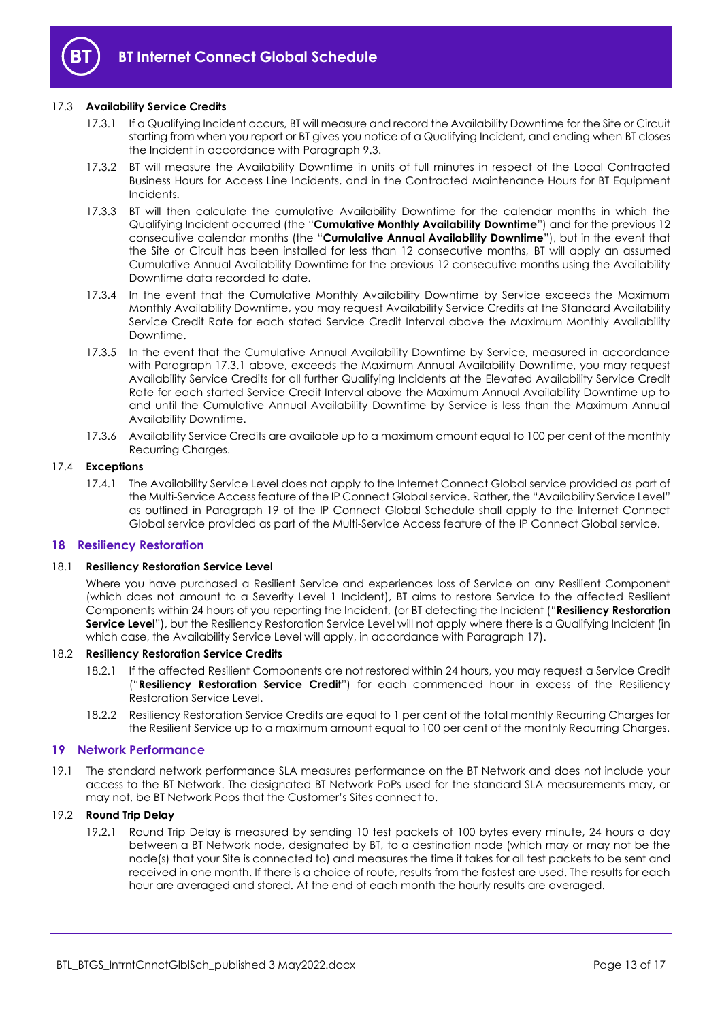

#### <span id="page-12-4"></span>17.3 **Availability Service Credits**

- 17.3.1 If a Qualifying Incident occurs, BT will measure and record the Availability Downtime for the Site or Circuit starting from when you report or BT gives you notice of a Qualifying Incident, and ending when BT closes the Incident in accordance with Paragraph [9.3.](#page-8-2)
- 17.3.2 BT will measure the Availability Downtime in units of full minutes in respect of the Local Contracted Business Hours for Access Line Incidents, and in the Contracted Maintenance Hours for BT Equipment Incidents.
- <span id="page-12-5"></span>17.3.3 BT will then calculate the cumulative Availability Downtime for the calendar months in which the Qualifying Incident occurred (the "**Cumulative Monthly Availability Downtime**") and for the previous 12 consecutive calendar months (the "**Cumulative Annual Availability Downtime**"), but in the event that the Site or Circuit has been installed for less than 12 consecutive months, BT will apply an assumed Cumulative Annual Availability Downtime for the previous 12 consecutive months using the Availability Downtime data recorded to date.
- <span id="page-12-2"></span>17.3.4 In the event that the Cumulative Monthly Availability Downtime by Service exceeds the Maximum Monthly Availability Downtime, you may request Availability Service Credits at the Standard Availability Service Credit Rate for each stated Service Credit Interval above the Maximum Monthly Availability Downtime.
- <span id="page-12-3"></span>17.3.5 In the event that the Cumulative Annual Availability Downtime by Service, measured in accordance with Paragraph [17.3.1](#page-12-4) above, exceeds the Maximum Annual Availability Downtime, you may request Availability Service Credits for all further Qualifying Incidents at the Elevated Availability Service Credit Rate for each started Service Credit Interval above the Maximum Annual Availability Downtime up to and until the Cumulative Annual Availability Downtime by Service is less than the Maximum Annual Availability Downtime.
- 17.3.6 Availability Service Credits are available up to a maximum amount equal to 100 per cent of the monthly Recurring Charges.

#### 17.4 **Exceptions**

17.4.1 The Availability Service Level does not apply to the Internet Connect Global service provided as part of the Multi-Service Access feature of the IP Connect Global service. Rather, the "Availability Service Level" as outlined in Paragraph 19 of the IP Connect Global Schedule shall apply to the Internet Connect Global service provided as part of the Multi-Service Access feature of the IP Connect Global service.

#### <span id="page-12-0"></span>**18 Resiliency Restoration**

#### <span id="page-12-7"></span>18.1 **Resiliency Restoration Service Level**

Where you have purchased a Resilient Service and experiences loss of Service on any Resilient Component (which does not amount to a Severity Level 1 Incident), BT aims to restore Service to the affected Resilient Components within 24 hours of you reporting the Incident, (or BT detecting the Incident ("**Resiliency Restoration**  Service Level"), but the Resiliency Restoration Service Level will not apply where there is a Qualifying Incident (in which case, the Availability Service Level will apply, in accordance with Paragraph [17\)](#page-11-2).

#### <span id="page-12-6"></span>18.2 **Resiliency Restoration Service Credits**

- 18.2.1 If the affected Resilient Components are not restored within 24 hours, you may request a Service Credit ("**Resiliency Restoration Service Credit**") for each commenced hour in excess of the Resiliency Restoration Service Level.
- 18.2.2 Resiliency Restoration Service Credits are equal to 1 per cent of the total monthly Recurring Charges for the Resilient Service up to a maximum amount equal to 100 per cent of the monthly Recurring Charges.

#### <span id="page-12-1"></span>**19 Network Performance**

19.1 The standard network performance SLA measures performance on the BT Network and does not include your access to the BT Network. The designated BT Network PoPs used for the standard SLA measurements may, or may not, be BT Network Pops that the Customer's Sites connect to.

#### 19.2 **Round Trip Delay**

19.2.1 Round Trip Delay is measured by sending 10 test packets of 100 bytes every minute, 24 hours a day between a BT Network node, designated by BT, to a destination node (which may or may not be the node(s) that your Site is connected to) and measures the time it takes for all test packets to be sent and received in one month. If there is a choice of route, results from the fastest are used. The results for each hour are averaged and stored. At the end of each month the hourly results are averaged.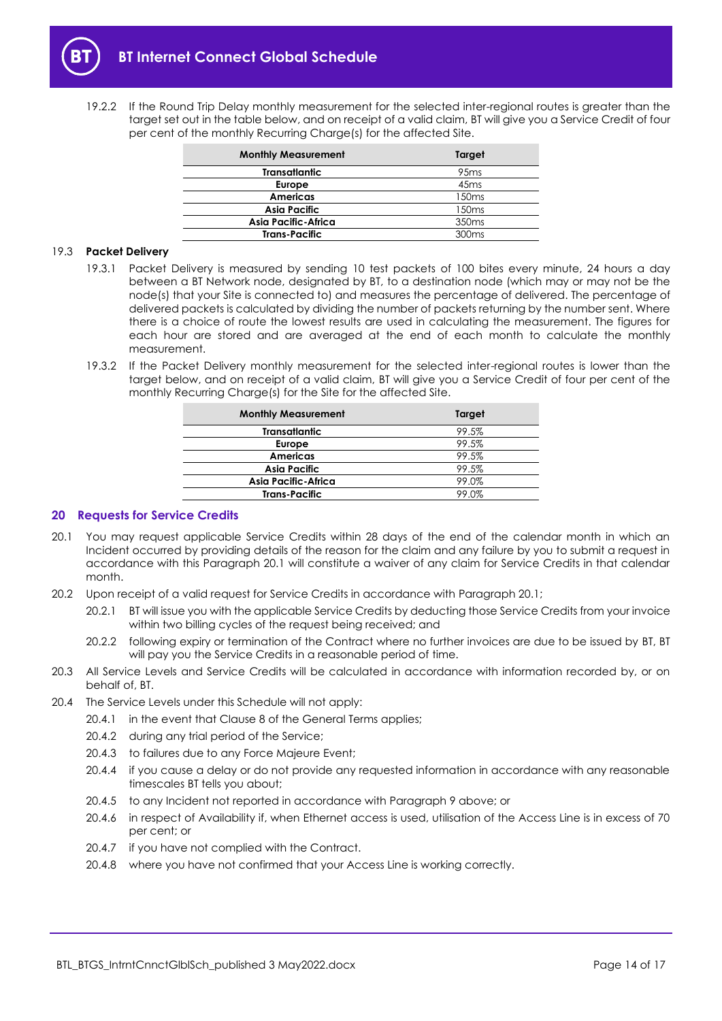19.2.2 If the Round Trip Delay monthly measurement for the selected inter-regional routes is greater than the target set out in the table below, and on receipt of a valid claim, BT will give you a Service Credit of four per cent of the monthly Recurring Charge(s) for the affected Site.

| <b>Monthly Measurement</b> | Target            |
|----------------------------|-------------------|
| <b>Transatiantic</b>       | 95 <sub>ms</sub>  |
| Europe                     | 45 <sub>ms</sub>  |
| Americas                   | 150 <sub>ms</sub> |
| <b>Asia Pacific</b>        | 150 <sub>ms</sub> |
| Asia Pacific-Africa        | 350 <sub>ms</sub> |
| <b>Trans-Pacific</b>       | 300 <sub>ms</sub> |

#### 19.3 **Packet Delivery**

- 19.3.1 Packet Delivery is measured by sending 10 test packets of 100 bites every minute, 24 hours a day between a BT Network node, designated by BT, to a destination node (which may or may not be the node(s) that your Site is connected to) and measures the percentage of delivered. The percentage of delivered packets is calculated by dividing the number of packets returning by the number sent. Where there is a choice of route the lowest results are used in calculating the measurement. The figures for each hour are stored and are averaged at the end of each month to calculate the monthly measurement.
- 19.3.2 If the Packet Delivery monthly measurement for the selected inter-regional routes is lower than the target below, and on receipt of a valid claim, BT will give you a Service Credit of four per cent of the monthly Recurring Charge(s) for the Site for the affected Site.

| <b>Monthly Measurement</b> | Target |
|----------------------------|--------|
| <b>Transatiantic</b>       | 99.5%  |
| Europe                     | 99.5%  |
| Americas                   | 99.5%  |
| <b>Asia Pacific</b>        | 99.5%  |
| Asia Pacific-Africa        | 99.0%  |
| <b>Trans-Pacific</b>       | 99.0%  |

#### <span id="page-13-0"></span>**20 Requests for Service Credits**

- <span id="page-13-1"></span>20.1 You may request applicable Service Credits within 28 days of the end of the calendar month in which an Incident occurred by providing details of the reason for the claim and any failure by you to submit a request in accordance with this Paragraph [20.1](#page-13-1) will constitute a waiver of any claim for Service Credits in that calendar month.
- 20.2 Upon receipt of a valid request for Service Credits in accordance with Paragraph [20.1;](#page-13-1)
	- 20.2.1 BT will issue you with the applicable Service Credits by deducting those Service Credits from your invoice within two billing cycles of the request being received; and
	- 20.2.2 following expiry or termination of the Contract where no further invoices are due to be issued by BT, BT will pay you the Service Credits in a reasonable period of time.
- 20.3 All Service Levels and Service Credits will be calculated in accordance with information recorded by, or on behalf of, BT.
- 20.4 The Service Levels under this Schedule will not apply:
	- 20.4.1 in the event that Clause 8 of the General Terms applies;
		- 20.4.2 during any trial period of the Service;
		- 20.4.3 to failures due to any Force Majeure Event;
		- 20.4.4 if you cause a delay or do not provide any requested information in accordance with any reasonable timescales BT tells you about;
		- 20.4.5 to any Incident not reported in accordance with Paragraph [9](#page-8-0) above; or
		- 20.4.6 in respect of Availability if, when Ethernet access is used, utilisation of the Access Line is in excess of 70 per cent; or
		- 20.4.7 if you have not complied with the Contract.
		- 20.4.8 where you have not confirmed that your Access Line is working correctly.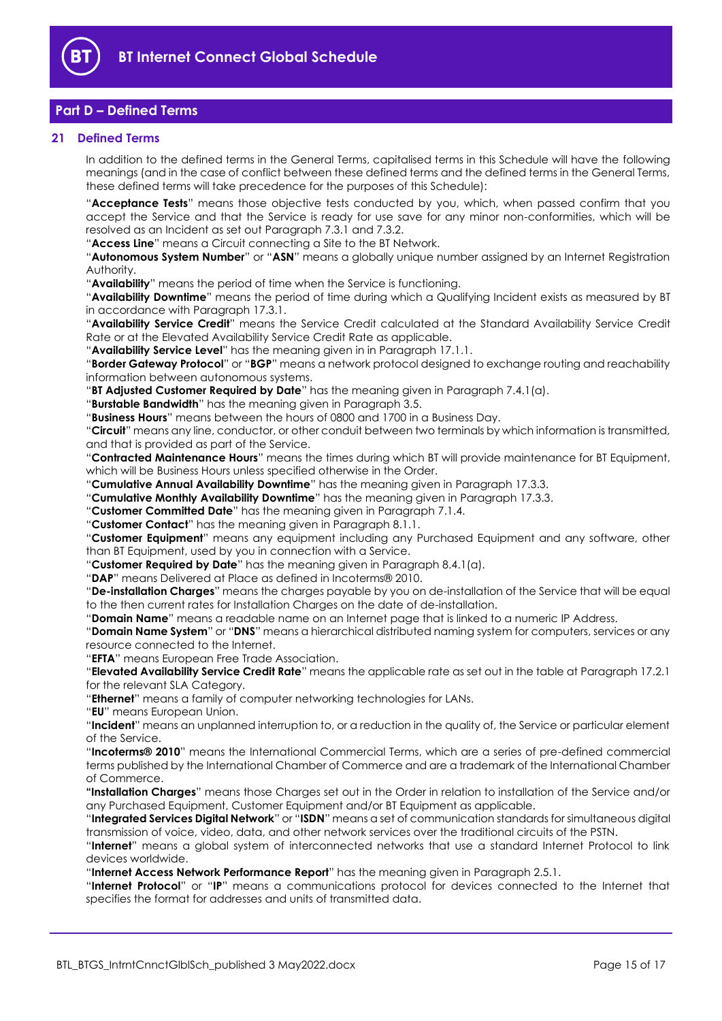

# <span id="page-14-0"></span>**Part D – Defined Terms**

#### <span id="page-14-1"></span>**21 Defined Terms**

In addition to the defined terms in the General Terms, capitalised terms in this Schedule will have the following meanings (and in the case of conflict between these defined terms and the defined terms in the General Terms, these defined terms will take precedence for the purposes of this Schedule):

"**Acceptance Tests**" means those objective tests conducted by you, which, when passed confirm that you accept the Service and that the Service is ready for use save for any minor non-conformities, which will be resolved as an Incident as set out Paragraph [7.3.1](#page-5-6) an[d 7.3.2.](#page-5-7)

"**Access Line**" means a Circuit connecting a Site to the BT Network.

"**Autonomous System Number**" or "**ASN**" means a globally unique number assigned by an Internet Registration Authority.

"**Availability**" means the period of time when the Service is functioning.

"**Availability Downtime**" means the period of time during which a Qualifying Incident exists as measured by BT in accordance with Paragraph [17.3.1.](#page-12-4)

"**Availability Service Credit**" means the Service Credit calculated at the Standard Availability Service Credit Rate or at the Elevated Availability Service Credit Rate as applicable.

"**Availability Service Level**" has the meaning given in in Paragraph [17.1.1.](#page-11-4)

"**Border Gateway Protocol**" or "**BGP**" means a network protocol designed to exchange routing and reachability information between autonomous systems.

"**BT Adjusted Customer Required by Date**" has the meaning given in Paragraph [7.4.1\(a\).](#page-5-8)

"**Burstable Bandwidth**" has the meaning given in Paragrap[h 3.5.](#page-2-2)

"**Business Hours**" means between the hours of 0800 and 1700 in a Business Day.

"**Circuit**" means any line, conductor, or other conduit between two terminals by which information is transmitted, and that is provided as part of the Service.

"**Contracted Maintenance Hours**" means the times during which BT will provide maintenance for BT Equipment, which will be Business Hours unless specified otherwise in the Order.

"**Cumulative Annual Availability Downtime**" has the meaning given in Paragraph [17.3.3.](#page-12-5)

"**Cumulative Monthly Availability Downtime**" has the meaning given in Paragraph [17.3.3.](#page-12-5)

"**Customer Committed Date**" has the meaning given in Paragraph [7.1.4.](#page-5-4)

"**Customer Contact**" has the meaning given in Paragraph [8.1.1.](#page-6-3)

"**Customer Equipment**" means any equipment including any Purchased Equipment and any software, other than BT Equipment, used by you in connection with a Service.

"**Customer Required by Date**" has the meaning given in Paragraph [8.4.1\(a\).](#page-7-2)

"**DAP**" means Delivered at Place as defined in Incoterms® 2010.

"**De-installation Charges**" means the charges payable by you on de-installation of the Service that will be equal to the then current rates for Installation Charges on the date of de-installation.

"**Domain Name**" means a readable name on an Internet page that is linked to a numeric IP Address.

"**Domain Name System**" or "**DNS**" means a hierarchical distributed naming system for computers, services or any resource connected to the Internet.

"**EFTA**" means European Free Trade Association.

"**Elevated Availability Service Credit Rate**" means the applicable rate as set out in the table at Paragraph [17.2.1](#page-11-5) for the relevant SLA Category.

"**Ethernet**" means a family of computer networking technologies for LANs.

"**EU**" means European Union.

"**Incident**" means an unplanned interruption to, or a reduction in the quality of, the Service or particular element of the Service.

"**Incoterms® 2010**" means the International Commercial Terms, which are a series of pre-defined commercial terms published by the International Chamber of Commerce and are a trademark of the International Chamber of Commerce.

**"Installation Charges**" means those Charges set out in the Order in relation to installation of the Service and/or any Purchased Equipment, Customer Equipment and/or BT Equipment as applicable.

"**Integrated Services Digital Network**" or "**ISDN**" means a set of communication standards for simultaneous digital transmission of voice, video, data, and other network services over the traditional circuits of the PSTN.

"**Internet**" means a global system of interconnected networks that use a standard Internet Protocol to link devices worldwide.

"**Internet Access Network Performance Report**" has the meaning given in Paragraph [2.5.1.](#page-1-5)

"**Internet Protocol**" or "**IP**" means a communications protocol for devices connected to the Internet that specifies the format for addresses and units of transmitted data.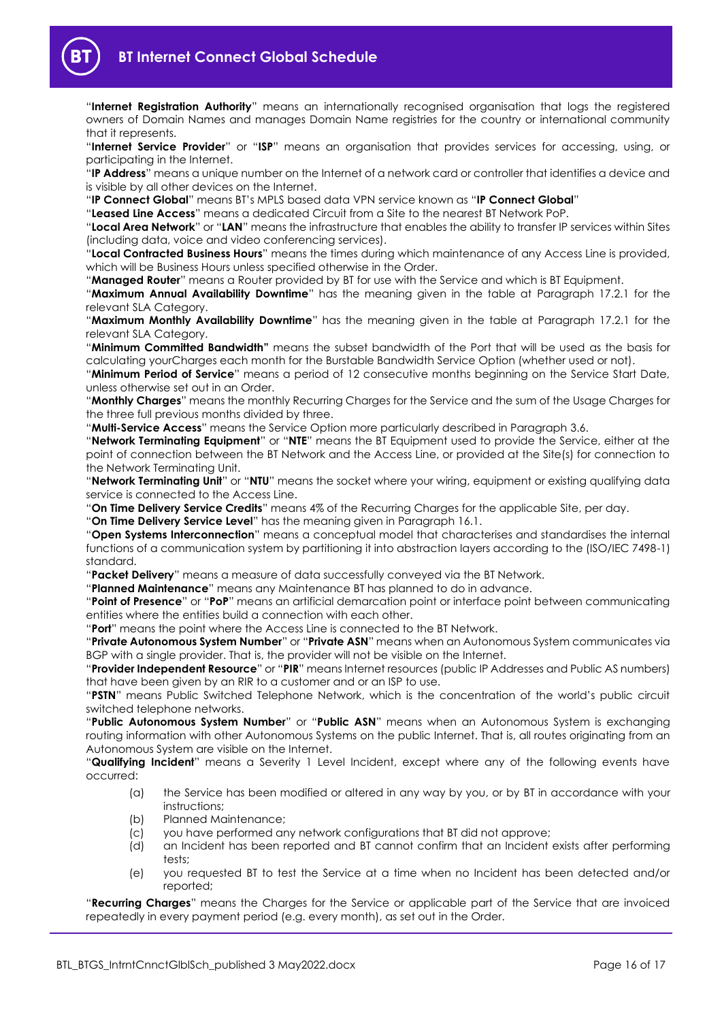

"**Internet Registration Authority**" means an internationally recognised organisation that logs the registered owners of Domain Names and manages Domain Name registries for the country or international community that it represents.

"**Internet Service Provider**" or "**ISP**" means an organisation that provides services for accessing, using, or participating in the Internet.

"**IP Address**" means a unique number on the Internet of a network card or controller that identifies a device and is visible by all other devices on the Internet.

"**IP Connect Global**" means BT's MPLS based data VPN service known as "**IP Connect Global**"

"**Leased Line Access**" means a dedicated Circuit from a Site to the nearest BT Network PoP.

"**Local Area Network**" or "**LAN**" means the infrastructure that enables the ability to transfer IP services within Sites (including data, voice and video conferencing services).

"**Local Contracted Business Hours**" means the times during which maintenance of any Access Line is provided, which will be Business Hours unless specified otherwise in the Order.

"**Managed Router**" means a Router provided by BT for use with the Service and which is BT Equipment.

"**Maximum Annual Availability Downtime**" has the meaning given in the table at Paragraph [17.2.1](#page-11-5) for the relevant SLA Category.

"**Maximum Monthly Availability Downtime**" has the meaning given in the table at Paragraph [17.2.1](#page-11-5) for the relevant SLA Category.

"**Minimum Committed Bandwidth"** means the subset bandwidth of the Port that will be used as the basis for calculating yourCharges each month for the Burstable Bandwidth Service Option (whether used or not).

"**Minimum Period of Service**" means a period of 12 consecutive months beginning on the Service Start Date, unless otherwise set out in an Order.

"**Monthly Charges**" means the monthly Recurring Charges for the Service and the sum of the Usage Charges for the three full previous months divided by three.

"**Multi-Service Access**" means the Service Option more particularly described in Paragraph [3.6.](#page-3-3)

"**Network Terminating Equipment**" or "**NTE**" means the BT Equipment used to provide the Service, either at the point of connection between the BT Network and the Access Line, or provided at the Site(s) for connection to the Network Terminating Unit.

"**Network Terminating Unit**" or "**NTU**" means the socket where your wiring, equipment or existing qualifying data service is connected to the Access Line.

"**On Time Delivery Service Credits**" means 4% of the Recurring Charges for the applicable Site, per day.

"**On Time Delivery Service Level**" has the meaning given in Paragraph [16.1.](#page-11-6)

"**Open Systems Interconnection**" means a conceptual model that characterises and standardises the internal functions of a communication system by partitioning it into abstraction layers according to the (ISO/IEC 7498-1) standard.

"**Packet Delivery**" means a measure of data successfully conveyed via the BT Network.

"**Planned Maintenance**" means any Maintenance BT has planned to do in advance.

"**Point of Presence**" or "**PoP**" means an artificial demarcation point or interface point between communicating entities where the entities build a connection with each other.

"**Port**" means the point where the Access Line is connected to the BT Network.

"**Private Autonomous System Number**" or "**Private ASN**" means when an Autonomous System communicates via BGP with a single provider. That is, the provider will not be visible on the Internet.

"**Provider Independent Resource**" or "**PIR**" means Internet resources (public IP Addresses and Public AS numbers) that have been given by an RIR to a customer and or an ISP to use.

"**PSTN**" means Public Switched Telephone Network, which is the concentration of the world's public circuit switched telephone networks.

"**Public Autonomous System Number**" or "**Public ASN**" means when an Autonomous System is exchanging routing information with other Autonomous Systems on the public Internet. That is, all routes originating from an Autonomous System are visible on the Internet.

"**Qualifying Incident**" means a Severity 1 Level Incident, except where any of the following events have occurred:

- (a) the Service has been modified or altered in any way by you, or by BT in accordance with your instructions;
- (b) Planned Maintenance;
- (c) you have performed any network configurations that BT did not approve;
- (d) an Incident has been reported and BT cannot confirm that an Incident exists after performing tests;
- (e) you requested BT to test the Service at a time when no Incident has been detected and/or reported;

"**Recurring Charges**" means the Charges for the Service or applicable part of the Service that are invoiced repeatedly in every payment period (e.g. every month), as set out in the Order.